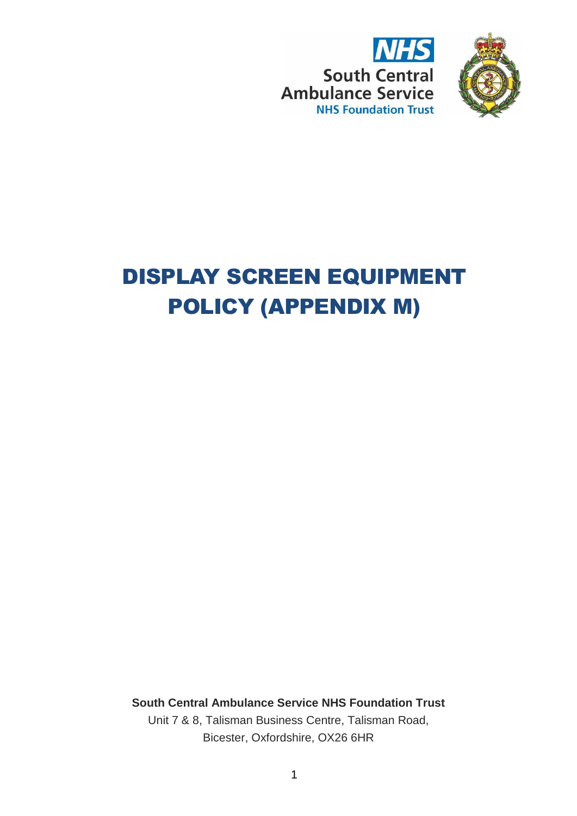



# DISPLAY SCREEN EQUIPMENT POLICY (APPENDIX M)

**South Central Ambulance Service NHS Foundation Trust** Unit 7 & 8, Talisman Business Centre, Talisman Road, Bicester, Oxfordshire, OX26 6HR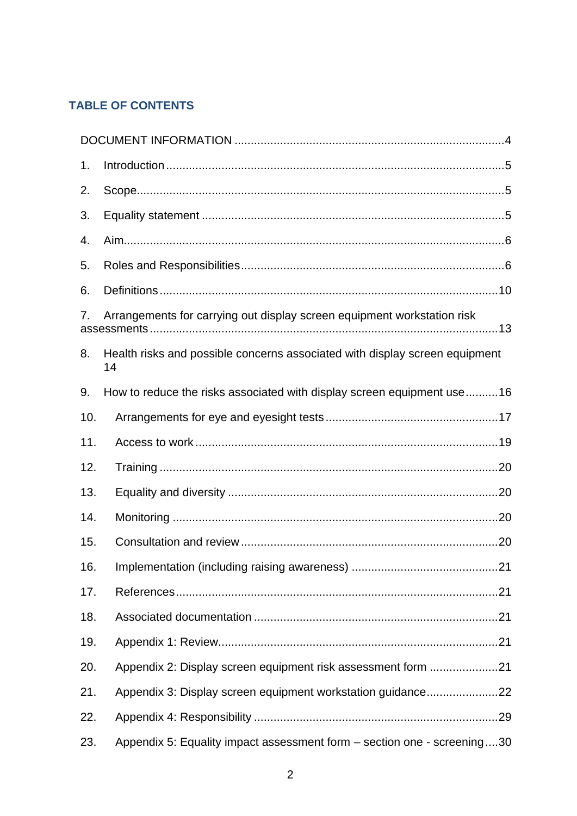# **TABLE OF CONTENTS**

| 1.                                                                            |                                                                                   |  |  |  |
|-------------------------------------------------------------------------------|-----------------------------------------------------------------------------------|--|--|--|
| 2.                                                                            |                                                                                   |  |  |  |
| 3.                                                                            |                                                                                   |  |  |  |
| 4.                                                                            |                                                                                   |  |  |  |
| 5.                                                                            |                                                                                   |  |  |  |
| 6.                                                                            |                                                                                   |  |  |  |
| Arrangements for carrying out display screen equipment workstation risk<br>7. |                                                                                   |  |  |  |
| 8.                                                                            | Health risks and possible concerns associated with display screen equipment<br>14 |  |  |  |
| 9.                                                                            | How to reduce the risks associated with display screen equipment use16            |  |  |  |
| 10.                                                                           |                                                                                   |  |  |  |
| 11.                                                                           |                                                                                   |  |  |  |
| 12.                                                                           |                                                                                   |  |  |  |
| 13.                                                                           |                                                                                   |  |  |  |
| 14.                                                                           |                                                                                   |  |  |  |
| 15.                                                                           |                                                                                   |  |  |  |
| 16.                                                                           |                                                                                   |  |  |  |
| 17.                                                                           |                                                                                   |  |  |  |
| 18.                                                                           |                                                                                   |  |  |  |
| 19.                                                                           |                                                                                   |  |  |  |
| 20.                                                                           | Appendix 2: Display screen equipment risk assessment form 21                      |  |  |  |
| 21.                                                                           | Appendix 3: Display screen equipment workstation guidance22                       |  |  |  |
| 22.                                                                           |                                                                                   |  |  |  |
| 23.                                                                           | Appendix 5: Equality impact assessment form – section one - screening30           |  |  |  |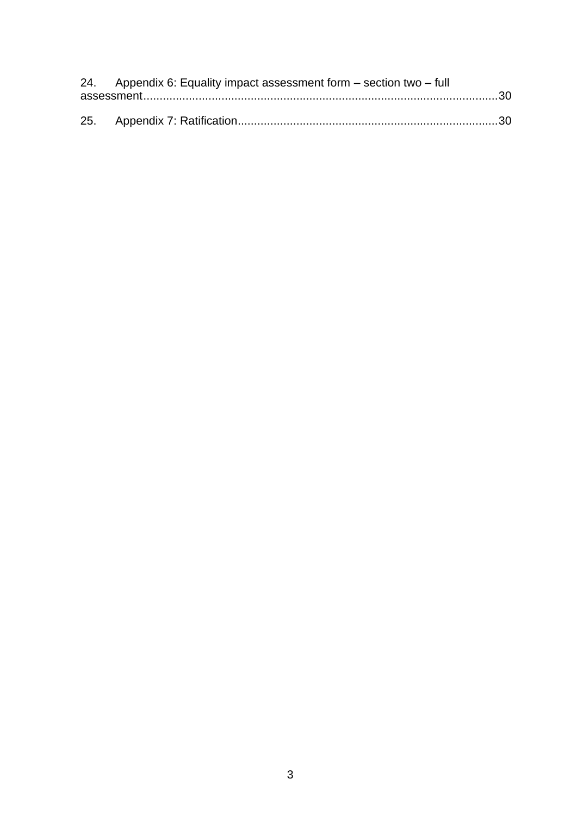| 24. Appendix 6: Equality impact assessment form $-$ section two $-$ full |  |  |
|--------------------------------------------------------------------------|--|--|
|                                                                          |  |  |
|                                                                          |  |  |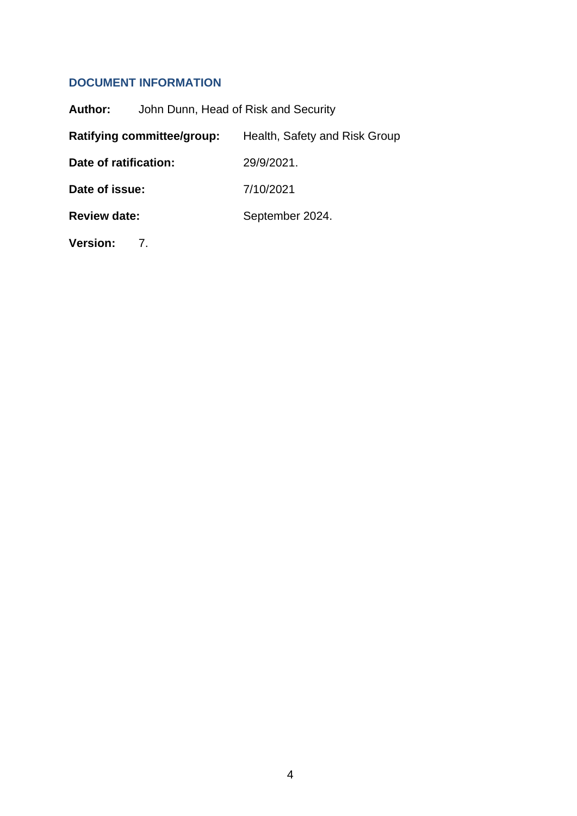# <span id="page-3-0"></span>**DOCUMENT INFORMATION**

| Author:               | John Dunn, Head of Risk and Security |                               |  |
|-----------------------|--------------------------------------|-------------------------------|--|
|                       | <b>Ratifying committee/group:</b>    | Health, Safety and Risk Group |  |
| Date of ratification: |                                      | 29/9/2021.                    |  |
| Date of issue:        |                                      | 7/10/2021                     |  |
| <b>Review date:</b>   |                                      | September 2024.               |  |
|                       |                                      |                               |  |

**Version:** 7.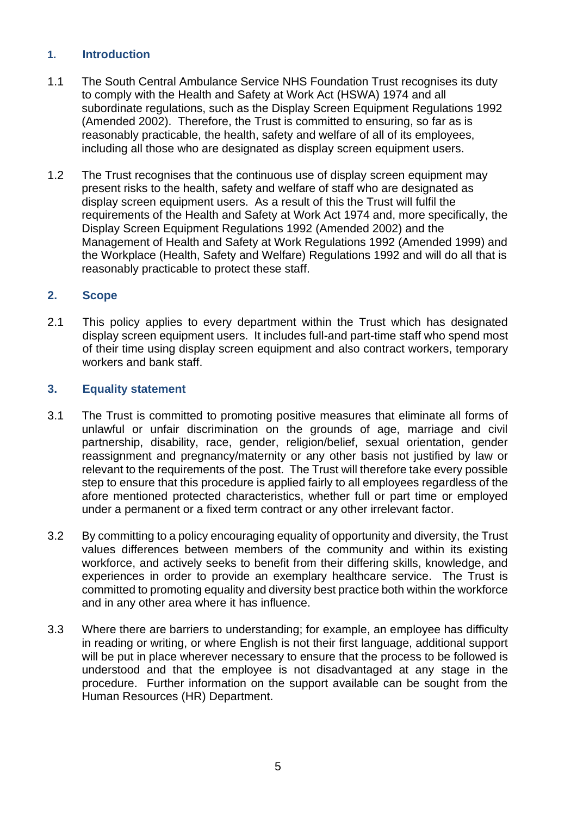# <span id="page-4-0"></span>**1. Introduction**

- 1.1 The South Central Ambulance Service NHS Foundation Trust recognises its duty to comply with the Health and Safety at Work Act (HSWA) 1974 and all subordinate regulations, such as the Display Screen Equipment Regulations 1992 (Amended 2002). Therefore, the Trust is committed to ensuring, so far as is reasonably practicable, the health, safety and welfare of all of its employees, including all those who are designated as display screen equipment users.
- 1.2 The Trust recognises that the continuous use of display screen equipment may present risks to the health, safety and welfare of staff who are designated as display screen equipment users. As a result of this the Trust will fulfil the requirements of the Health and Safety at Work Act 1974 and, more specifically, the Display Screen Equipment Regulations 1992 (Amended 2002) and the Management of Health and Safety at Work Regulations 1992 (Amended 1999) and the Workplace (Health, Safety and Welfare) Regulations 1992 and will do all that is reasonably practicable to protect these staff.

# <span id="page-4-1"></span>**2. Scope**

2.1 This policy applies to every department within the Trust which has designated display screen equipment users. It includes full-and part-time staff who spend most of their time using display screen equipment and also contract workers, temporary workers and bank staff.

# <span id="page-4-2"></span>**3. Equality statement**

- 3.1 The Trust is committed to promoting positive measures that eliminate all forms of unlawful or unfair discrimination on the grounds of age, marriage and civil partnership, disability, race, gender, religion/belief, sexual orientation, gender reassignment and pregnancy/maternity or any other basis not justified by law or relevant to the requirements of the post. The Trust will therefore take every possible step to ensure that this procedure is applied fairly to all employees regardless of the afore mentioned protected characteristics, whether full or part time or employed under a permanent or a fixed term contract or any other irrelevant factor.
- 3.2 By committing to a policy encouraging equality of opportunity and diversity, the Trust values differences between members of the community and within its existing workforce, and actively seeks to benefit from their differing skills, knowledge, and experiences in order to provide an exemplary healthcare service. The Trust is committed to promoting equality and diversity best practice both within the workforce and in any other area where it has influence.
- 3.3 Where there are barriers to understanding; for example, an employee has difficulty in reading or writing, or where English is not their first language, additional support will be put in place wherever necessary to ensure that the process to be followed is understood and that the employee is not disadvantaged at any stage in the procedure. Further information on the support available can be sought from the Human Resources (HR) Department.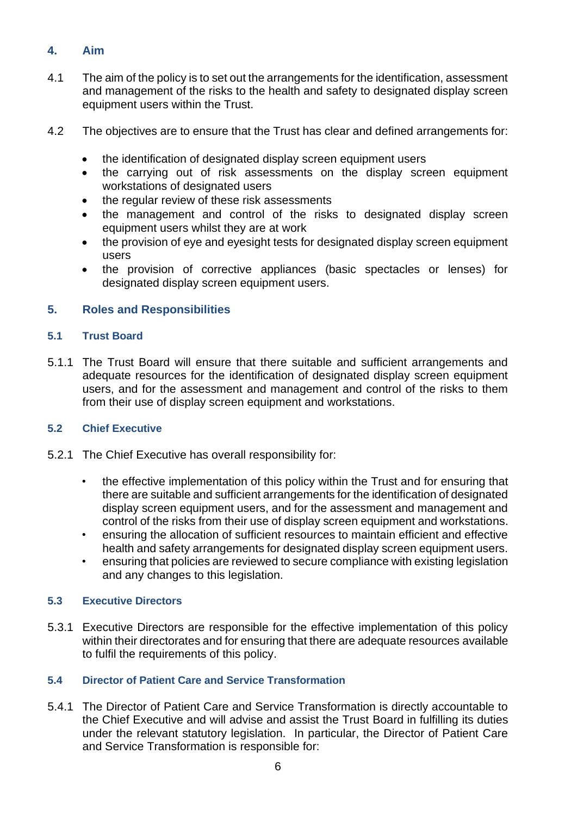# <span id="page-5-0"></span>**4. Aim**

- 4.1 The aim of the policy is to set out the arrangements for the identification, assessment and management of the risks to the health and safety to designated display screen equipment users within the Trust.
- 4.2 The objectives are to ensure that the Trust has clear and defined arrangements for:
	- the identification of designated display screen equipment users
	- the carrying out of risk assessments on the display screen equipment workstations of designated users
	- the regular review of these risk assessments
	- the management and control of the risks to designated display screen equipment users whilst they are at work
	- the provision of eye and eyesight tests for designated display screen equipment users
	- the provision of corrective appliances (basic spectacles or lenses) for designated display screen equipment users.

# <span id="page-5-1"></span>**5. Roles and Responsibilities**

# **5.1 Trust Board**

5.1.1 The Trust Board will ensure that there suitable and sufficient arrangements and adequate resources for the identification of designated display screen equipment users, and for the assessment and management and control of the risks to them from their use of display screen equipment and workstations.

# **5.2 Chief Executive**

- 5.2.1 The Chief Executive has overall responsibility for:
	- the effective implementation of this policy within the Trust and for ensuring that there are suitable and sufficient arrangements for the identification of designated display screen equipment users, and for the assessment and management and control of the risks from their use of display screen equipment and workstations.
	- ensuring the allocation of sufficient resources to maintain efficient and effective health and safety arrangements for designated display screen equipment users.
	- ensuring that policies are reviewed to secure compliance with existing legislation and any changes to this legislation.

# **5.3 Executive Directors**

5.3.1 Executive Directors are responsible for the effective implementation of this policy within their directorates and for ensuring that there are adequate resources available to fulfil the requirements of this policy.

# **5.4 Director of Patient Care and Service Transformation**

5.4.1 The Director of Patient Care and Service Transformation is directly accountable to the Chief Executive and will advise and assist the Trust Board in fulfilling its duties under the relevant statutory legislation. In particular, the Director of Patient Care and Service Transformation is responsible for: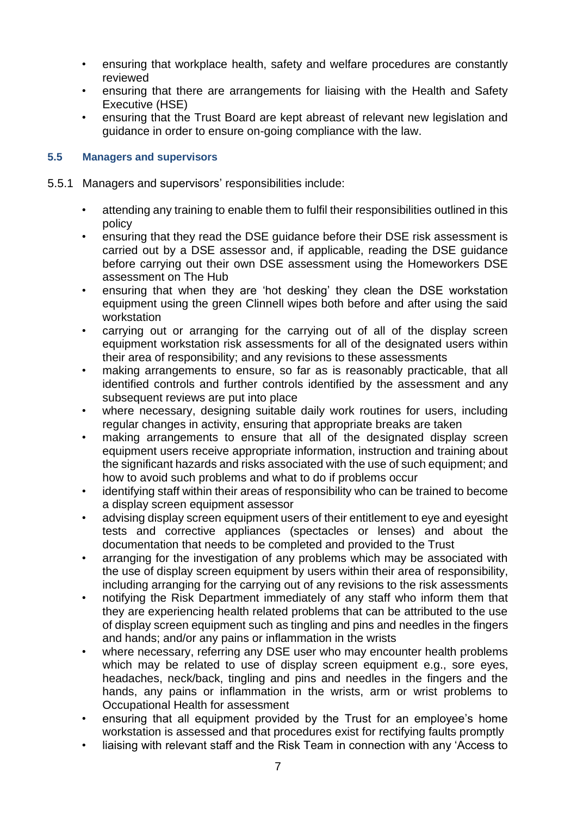- ensuring that workplace health, safety and welfare procedures are constantly reviewed
- ensuring that there are arrangements for liaising with the Health and Safety Executive (HSE)
- ensuring that the Trust Board are kept abreast of relevant new legislation and guidance in order to ensure on-going compliance with the law.

# **5.5 Managers and supervisors**

- 5.5.1 Managers and supervisors' responsibilities include:
	- attending any training to enable them to fulfil their responsibilities outlined in this policy
	- ensuring that they read the DSE guidance before their DSE risk assessment is carried out by a DSE assessor and, if applicable, reading the DSE guidance before carrying out their own DSE assessment using the Homeworkers DSE assessment on The Hub
	- ensuring that when they are 'hot desking' they clean the DSE workstation equipment using the green Clinnell wipes both before and after using the said workstation
	- carrying out or arranging for the carrying out of all of the display screen equipment workstation risk assessments for all of the designated users within their area of responsibility; and any revisions to these assessments
	- making arrangements to ensure, so far as is reasonably practicable, that all identified controls and further controls identified by the assessment and any subsequent reviews are put into place
	- where necessary, designing suitable daily work routines for users, including regular changes in activity, ensuring that appropriate breaks are taken
	- making arrangements to ensure that all of the designated display screen equipment users receive appropriate information, instruction and training about the significant hazards and risks associated with the use of such equipment; and how to avoid such problems and what to do if problems occur
	- identifying staff within their areas of responsibility who can be trained to become a display screen equipment assessor
	- advising display screen equipment users of their entitlement to eye and eyesight tests and corrective appliances (spectacles or lenses) and about the documentation that needs to be completed and provided to the Trust
	- arranging for the investigation of any problems which may be associated with the use of display screen equipment by users within their area of responsibility, including arranging for the carrying out of any revisions to the risk assessments
	- notifying the Risk Department immediately of any staff who inform them that they are experiencing health related problems that can be attributed to the use of display screen equipment such as tingling and pins and needles in the fingers and hands; and/or any pains or inflammation in the wrists
	- where necessary, referring any DSE user who may encounter health problems which may be related to use of display screen equipment e.g., sore eyes, headaches, neck/back, tingling and pins and needles in the fingers and the hands, any pains or inflammation in the wrists, arm or wrist problems to Occupational Health for assessment
	- ensuring that all equipment provided by the Trust for an employee's home workstation is assessed and that procedures exist for rectifying faults promptly
	- liaising with relevant staff and the Risk Team in connection with any 'Access to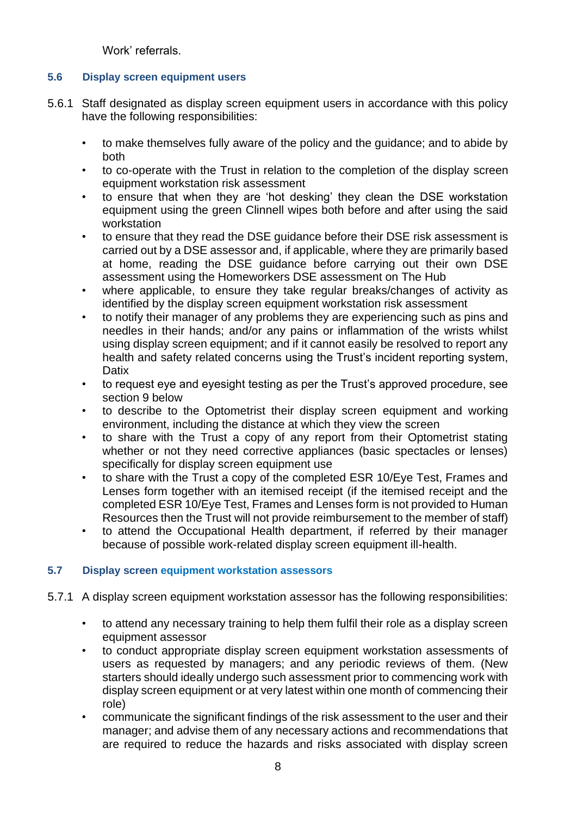Work' referrals.

# **5.6 Display screen equipment users**

- 5.6.1 Staff designated as display screen equipment users in accordance with this policy have the following responsibilities:
	- to make themselves fully aware of the policy and the guidance; and to abide by both
	- to co-operate with the Trust in relation to the completion of the display screen equipment workstation risk assessment
	- to ensure that when they are 'hot desking' they clean the DSE workstation equipment using the green Clinnell wipes both before and after using the said workstation
	- to ensure that they read the DSE guidance before their DSE risk assessment is carried out by a DSE assessor and, if applicable, where they are primarily based at home, reading the DSE guidance before carrying out their own DSE assessment using the Homeworkers DSE assessment on The Hub
	- where applicable, to ensure they take regular breaks/changes of activity as identified by the display screen equipment workstation risk assessment
	- to notify their manager of any problems they are experiencing such as pins and needles in their hands; and/or any pains or inflammation of the wrists whilst using display screen equipment; and if it cannot easily be resolved to report any health and safety related concerns using the Trust's incident reporting system, **Datix**
	- to request eye and eyesight testing as per the Trust's approved procedure, see section 9 below
	- to describe to the Optometrist their display screen equipment and working environment, including the distance at which they view the screen
	- to share with the Trust a copy of any report from their Optometrist stating whether or not they need corrective appliances (basic spectacles or lenses) specifically for display screen equipment use
	- to share with the Trust a copy of the completed ESR 10/Eye Test, Frames and Lenses form together with an itemised receipt (if the itemised receipt and the completed ESR 10/Eye Test, Frames and Lenses form is not provided to Human Resources then the Trust will not provide reimbursement to the member of staff)
	- to attend the Occupational Health department, if referred by their manager because of possible work-related display screen equipment ill-health.

# **5.7 Display screen equipment workstation assessors**

- 5.7.1 A display screen equipment workstation assessor has the following responsibilities:
	- to attend any necessary training to help them fulfil their role as a display screen equipment assessor
	- to conduct appropriate display screen equipment workstation assessments of users as requested by managers; and any periodic reviews of them. (New starters should ideally undergo such assessment prior to commencing work with display screen equipment or at very latest within one month of commencing their role)
	- communicate the significant findings of the risk assessment to the user and their manager; and advise them of any necessary actions and recommendations that are required to reduce the hazards and risks associated with display screen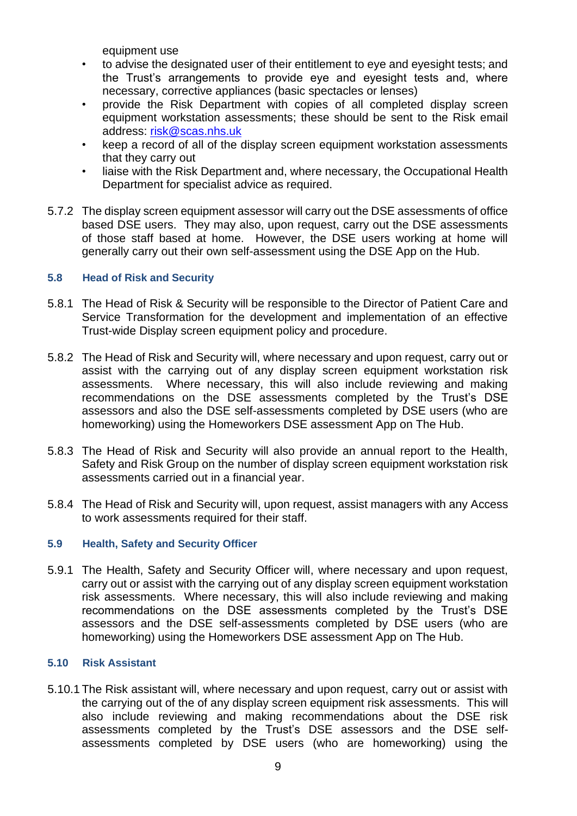equipment use

- to advise the designated user of their entitlement to eye and eyesight tests; and the Trust's arrangements to provide eye and eyesight tests and, where necessary, corrective appliances (basic spectacles or lenses)
- provide the Risk Department with copies of all completed display screen equipment workstation assessments; these should be sent to the Risk email address: [risk@scas.nhs.uk](mailto:risk@scas.nhs.uk)
- keep a record of all of the display screen equipment workstation assessments that they carry out
- liaise with the Risk Department and, where necessary, the Occupational Health Department for specialist advice as required.
- 5.7.2 The display screen equipment assessor will carry out the DSE assessments of office based DSE users. They may also, upon request, carry out the DSE assessments of those staff based at home. However, the DSE users working at home will generally carry out their own self-assessment using the DSE App on the Hub.

# **5.8 Head of Risk and Security**

- 5.8.1 The Head of Risk & Security will be responsible to the Director of Patient Care and Service Transformation for the development and implementation of an effective Trust-wide Display screen equipment policy and procedure.
- 5.8.2 The Head of Risk and Security will, where necessary and upon request, carry out or assist with the carrying out of any display screen equipment workstation risk assessments. Where necessary, this will also include reviewing and making recommendations on the DSE assessments completed by the Trust's DSE assessors and also the DSE self-assessments completed by DSE users (who are homeworking) using the Homeworkers DSE assessment App on The Hub.
- 5.8.3 The Head of Risk and Security will also provide an annual report to the Health, Safety and Risk Group on the number of display screen equipment workstation risk assessments carried out in a financial year.
- 5.8.4 The Head of Risk and Security will, upon request, assist managers with any Access to work assessments required for their staff.

# **5.9 Health, Safety and Security Officer**

5.9.1 The Health, Safety and Security Officer will, where necessary and upon request, carry out or assist with the carrying out of any display screen equipment workstation risk assessments. Where necessary, this will also include reviewing and making recommendations on the DSE assessments completed by the Trust's DSE assessors and the DSE self-assessments completed by DSE users (who are homeworking) using the Homeworkers DSE assessment App on The Hub.

# **5.10 Risk Assistant**

5.10.1 The Risk assistant will, where necessary and upon request, carry out or assist with the carrying out of the of any display screen equipment risk assessments. This will also include reviewing and making recommendations about the DSE risk assessments completed by the Trust's DSE assessors and the DSE selfassessments completed by DSE users (who are homeworking) using the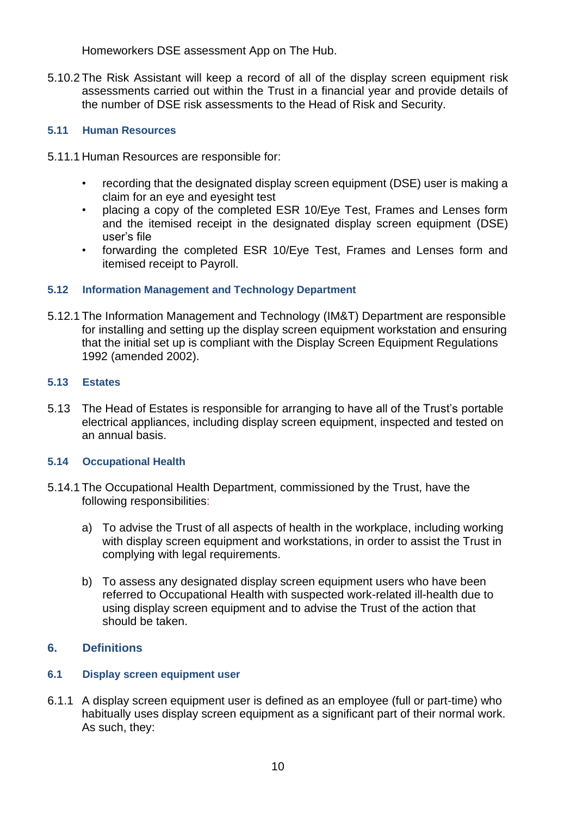Homeworkers DSE assessment App on The Hub.

5.10.2 The Risk Assistant will keep a record of all of the display screen equipment risk assessments carried out within the Trust in a financial year and provide details of the number of DSE risk assessments to the Head of Risk and Security.

# **5.11 Human Resources**

- 5.11.1 Human Resources are responsible for:
	- recording that the designated display screen equipment (DSE) user is making a claim for an eye and eyesight test
	- placing a copy of the completed ESR 10/Eye Test, Frames and Lenses form and the itemised receipt in the designated display screen equipment (DSE) user's file
	- forwarding the completed ESR 10/Eye Test, Frames and Lenses form and itemised receipt to Payroll.

# **5.12 Information Management and Technology Department**

5.12.1 The Information Management and Technology (IM&T) Department are responsible for installing and setting up the display screen equipment workstation and ensuring that the initial set up is compliant with the Display Screen Equipment Regulations 1992 (amended 2002).

# **5.13 Estates**

5.13 The Head of Estates is responsible for arranging to have all of the Trust's portable electrical appliances, including display screen equipment, inspected and tested on an annual basis.

# **5.14 Occupational Health**

- 5.14.1 The Occupational Health Department, commissioned by the Trust, have the following responsibilities:
	- a) To advise the Trust of all aspects of health in the workplace, including working with display screen equipment and workstations, in order to assist the Trust in complying with legal requirements.
	- b) To assess any designated display screen equipment users who have been referred to Occupational Health with suspected work-related ill-health due to using display screen equipment and to advise the Trust of the action that should be taken.

# <span id="page-9-0"></span>**6. Definitions**

# **6.1 Display screen equipment user**

6.1.1 A display screen equipment user is defined as an employee (full or part-time) who habitually uses display screen equipment as a significant part of their normal work. As such, they: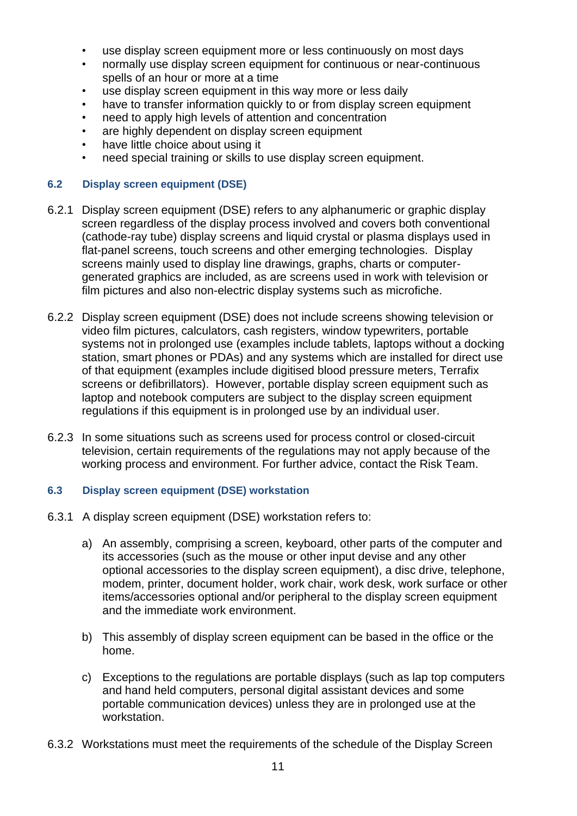- use display screen equipment more or less continuously on most days
- normally use display screen equipment for continuous or near-continuous spells of an hour or more at a time
- use display screen equipment in this way more or less daily
- have to transfer information quickly to or from display screen equipment
- heed to apply high levels of attention and concentration
- are highly dependent on display screen equipment
- have little choice about using it
- need special training or skills to use display screen equipment.

#### **6.2 Display screen equipment (DSE)**

- 6.2.1 Display screen equipment (DSE) refers to any alphanumeric or graphic display screen regardless of the display process involved and covers both conventional (cathode-ray tube) display screens and liquid crystal or plasma displays used in flat-panel screens, touch screens and other emerging technologies. Display screens mainly used to display line drawings, graphs, charts or computergenerated graphics are included, as are screens used in work with television or film pictures and also non-electric display systems such as microfiche.
- 6.2.2 Display screen equipment (DSE) does not include screens showing television or video film pictures, calculators, cash registers, window typewriters, portable systems not in prolonged use (examples include tablets, laptops without a docking station, smart phones or PDAs) and any systems which are installed for direct use of that equipment (examples include digitised blood pressure meters, Terrafix screens or defibrillators). However, portable display screen equipment such as laptop and notebook computers are subject to the display screen equipment regulations if this equipment is in prolonged use by an individual user.
- 6.2.3 In some situations such as screens used for process control or closed-circuit television, certain requirements of the regulations may not apply because of the working process and environment. For further advice, contact the Risk Team.

# **6.3 Display screen equipment (DSE) workstation**

- 6.3.1 A display screen equipment (DSE) workstation refers to:
	- a) An assembly, comprising a screen, keyboard, other parts of the computer and its accessories (such as the mouse or other input devise and any other optional accessories to the display screen equipment), a disc drive, telephone, modem, printer, document holder, work chair, work desk, work surface or other items/accessories optional and/or peripheral to the display screen equipment and the immediate work environment.
	- b) This assembly of display screen equipment can be based in the office or the home.
	- c) Exceptions to the regulations are portable displays (such as lap top computers and hand held computers, personal digital assistant devices and some portable communication devices) unless they are in prolonged use at the workstation.
- 6.3.2 Workstations must meet the requirements of the schedule of the Display Screen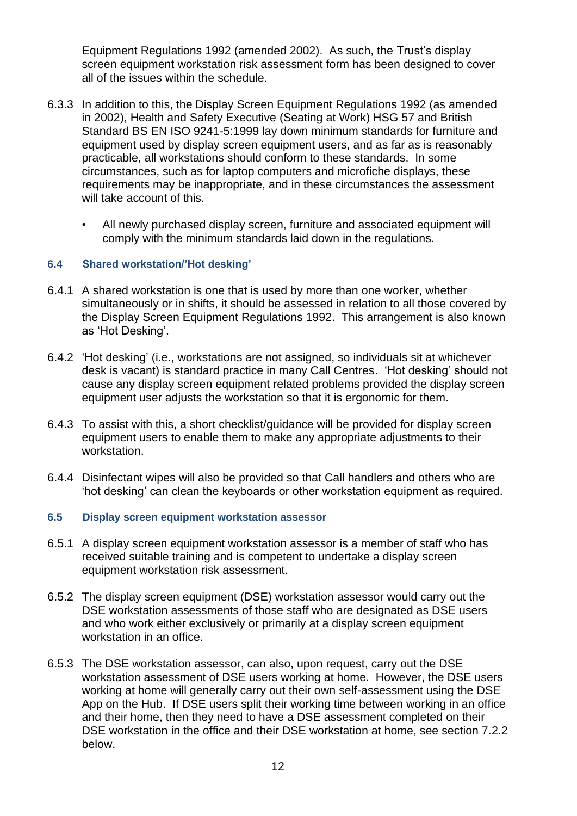Equipment Regulations 1992 (amended 2002). As such, the Trust's display screen equipment workstation risk assessment form has been designed to cover all of the issues within the schedule.

- 6.3.3 In addition to this, the Display Screen Equipment Regulations 1992 (as amended in 2002), Health and Safety Executive (Seating at Work) HSG 57 and British Standard BS EN ISO 9241-5:1999 lay down minimum standards for furniture and equipment used by display screen equipment users, and as far as is reasonably practicable, all workstations should conform to these standards. In some circumstances, such as for laptop computers and microfiche displays, these requirements may be inappropriate, and in these circumstances the assessment will take account of this.
	- All newly purchased display screen, furniture and associated equipment will comply with the minimum standards laid down in the regulations.

# **6.4 Shared workstation/'Hot desking'**

- 6.4.1 A shared workstation is one that is used by more than one worker, whether simultaneously or in shifts, it should be assessed in relation to all those covered by the Display Screen Equipment Regulations 1992. This arrangement is also known as 'Hot Desking'.
- 6.4.2 'Hot desking' (i.e., workstations are not assigned, so individuals sit at whichever desk is vacant) is standard practice in many Call Centres. 'Hot desking' should not cause any display screen equipment related problems provided the display screen equipment user adjusts the workstation so that it is ergonomic for them.
- 6.4.3 To assist with this, a short checklist/guidance will be provided for display screen equipment users to enable them to make any appropriate adjustments to their workstation.
- 6.4.4 Disinfectant wipes will also be provided so that Call handlers and others who are 'hot desking' can clean the keyboards or other workstation equipment as required.

#### **6.5 Display screen equipment workstation assessor**

- 6.5.1 A display screen equipment workstation assessor is a member of staff who has received suitable training and is competent to undertake a display screen equipment workstation risk assessment.
- 6.5.2 The display screen equipment (DSE) workstation assessor would carry out the DSE workstation assessments of those staff who are designated as DSE users and who work either exclusively or primarily at a display screen equipment workstation in an office.
- 6.5.3 The DSE workstation assessor, can also, upon request, carry out the DSE workstation assessment of DSE users working at home. However, the DSE users working at home will generally carry out their own self-assessment using the DSE App on the Hub. If DSE users split their working time between working in an office and their home, then they need to have a DSE assessment completed on their DSE workstation in the office and their DSE workstation at home, see section 7.2.2 below.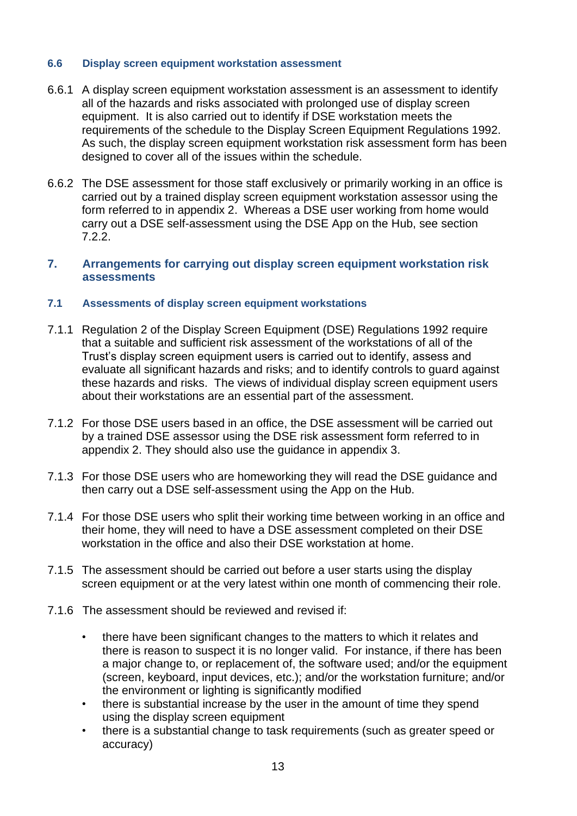#### **6.6 Display screen equipment workstation assessment**

- 6.6.1 A display screen equipment workstation assessment is an assessment to identify all of the hazards and risks associated with prolonged use of display screen equipment. It is also carried out to identify if DSE workstation meets the requirements of the schedule to the Display Screen Equipment Regulations 1992. As such, the display screen equipment workstation risk assessment form has been designed to cover all of the issues within the schedule.
- 6.6.2 The DSE assessment for those staff exclusively or primarily working in an office is carried out by a trained display screen equipment workstation assessor using the form referred to in appendix 2. Whereas a DSE user working from home would carry out a DSE self-assessment using the DSE App on the Hub, see section 7.2.2.

#### <span id="page-12-0"></span>**7. Arrangements for carrying out display screen equipment workstation risk assessments**

#### **7.1 Assessments of display screen equipment workstations**

- 7.1.1 Regulation 2 of the Display Screen Equipment (DSE) Regulations 1992 require that a suitable and sufficient risk assessment of the workstations of all of the Trust's display screen equipment users is carried out to identify, assess and evaluate all significant hazards and risks; and to identify controls to guard against these hazards and risks. The views of individual display screen equipment users about their workstations are an essential part of the assessment.
- 7.1.2 For those DSE users based in an office, the DSE assessment will be carried out by a trained DSE assessor using the DSE risk assessment form referred to in appendix 2. They should also use the guidance in appendix 3.
- 7.1.3 For those DSE users who are homeworking they will read the DSE guidance and then carry out a DSE self-assessment using the App on the Hub.
- 7.1.4 For those DSE users who split their working time between working in an office and their home, they will need to have a DSE assessment completed on their DSE workstation in the office and also their DSE workstation at home.
- 7.1.5 The assessment should be carried out before a user starts using the display screen equipment or at the very latest within one month of commencing their role.
- 7.1.6 The assessment should be reviewed and revised if:
	- there have been significant changes to the matters to which it relates and there is reason to suspect it is no longer valid. For instance, if there has been a major change to, or replacement of, the software used; and/or the equipment (screen, keyboard, input devices, etc.); and/or the workstation furniture; and/or the environment or lighting is significantly modified
	- there is substantial increase by the user in the amount of time they spend using the display screen equipment
	- there is a substantial change to task requirements (such as greater speed or accuracy)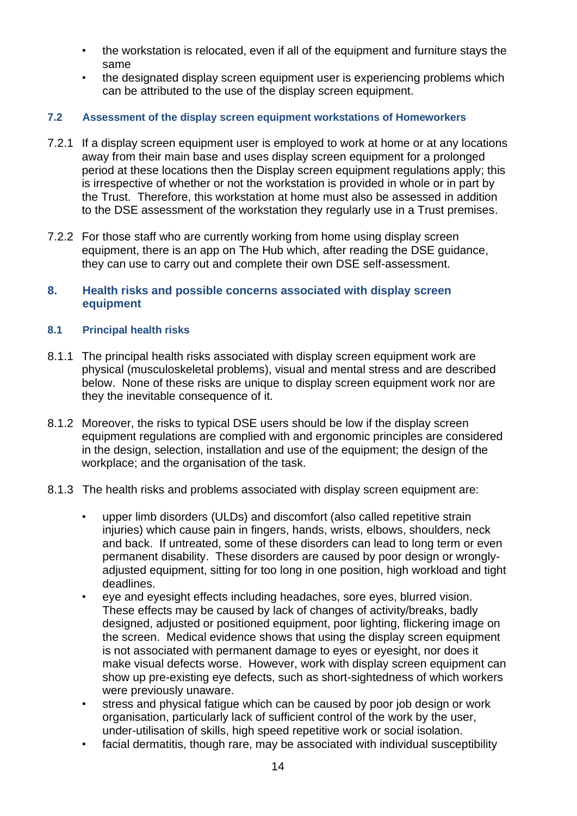- the workstation is relocated, even if all of the equipment and furniture stays the same
- the designated display screen equipment user is experiencing problems which can be attributed to the use of the display screen equipment.

# **7.2 Assessment of the display screen equipment workstations of Homeworkers**

- 7.2.1 If a display screen equipment user is employed to work at home or at any locations away from their main base and uses display screen equipment for a prolonged period at these locations then the Display screen equipment regulations apply; this is irrespective of whether or not the workstation is provided in whole or in part by the Trust. Therefore, this workstation at home must also be assessed in addition to the DSE assessment of the workstation they regularly use in a Trust premises.
- 7.2.2 For those staff who are currently working from home using display screen equipment, there is an app on The Hub which, after reading the DSE guidance, they can use to carry out and complete their own DSE self-assessment.

#### <span id="page-13-0"></span>**8. Health risks and possible concerns associated with display screen equipment**

#### **8.1 Principal health risks**

- 8.1.1 The principal health risks associated with display screen equipment work are physical (musculoskeletal problems), visual and mental stress and are described below. None of these risks are unique to display screen equipment work nor are they the inevitable consequence of it.
- 8.1.2 Moreover, the risks to typical DSE users should be low if the display screen equipment regulations are complied with and ergonomic principles are considered in the design, selection, installation and use of the equipment; the design of the workplace; and the organisation of the task.
- 8.1.3 The health risks and problems associated with display screen equipment are:
	- upper limb disorders (ULDs) and discomfort (also called repetitive strain injuries) which cause pain in fingers, hands, wrists, elbows, shoulders, neck and back. If untreated, some of these disorders can lead to long term or even permanent disability. These disorders are caused by poor design or wronglyadjusted equipment, sitting for too long in one position, high workload and tight deadlines.
	- eye and eyesight effects including headaches, sore eyes, blurred vision. These effects may be caused by lack of changes of activity/breaks, badly designed, adjusted or positioned equipment, poor lighting, flickering image on the screen. Medical evidence shows that using the display screen equipment is not associated with permanent damage to eyes or eyesight, nor does it make visual defects worse. However, work with display screen equipment can show up pre-existing eye defects, such as short-sightedness of which workers were previously unaware.
	- stress and physical fatigue which can be caused by poor job design or work organisation, particularly lack of sufficient control of the work by the user, under-utilisation of skills, high speed repetitive work or social isolation.
	- facial dermatitis, though rare, may be associated with individual susceptibility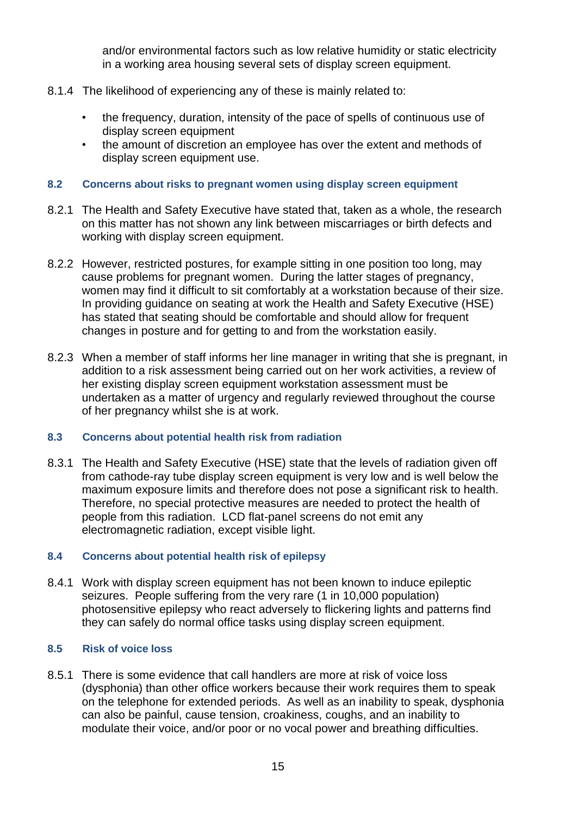and/or environmental factors such as low relative humidity or static electricity in a working area housing several sets of display screen equipment.

- 8.1.4 The likelihood of experiencing any of these is mainly related to:
	- the frequency, duration, intensity of the pace of spells of continuous use of display screen equipment
	- the amount of discretion an employee has over the extent and methods of display screen equipment use.

#### **8.2 Concerns about risks to pregnant women using display screen equipment**

- 8.2.1 The Health and Safety Executive have stated that, taken as a whole, the research on this matter has not shown any link between miscarriages or birth defects and working with display screen equipment.
- 8.2.2 However, restricted postures, for example sitting in one position too long, may cause problems for pregnant women. During the latter stages of pregnancy, women may find it difficult to sit comfortably at a workstation because of their size. In providing guidance on seating at work the Health and Safety Executive (HSE) has stated that seating should be comfortable and should allow for frequent changes in posture and for getting to and from the workstation easily.
- 8.2.3 When a member of staff informs her line manager in writing that she is pregnant, in addition to a risk assessment being carried out on her work activities, a review of her existing display screen equipment workstation assessment must be undertaken as a matter of urgency and regularly reviewed throughout the course of her pregnancy whilst she is at work.

# **8.3 Concerns about potential health risk from radiation**

8.3.1 The Health and Safety Executive (HSE) state that the levels of radiation given off from cathode-ray tube display screen equipment is very low and is well below the maximum exposure limits and therefore does not pose a significant risk to health. Therefore, no special protective measures are needed to protect the health of people from this radiation. LCD flat-panel screens do not emit any electromagnetic radiation, except visible light.

# **8.4 Concerns about potential health risk of epilepsy**

8.4.1 Work with display screen equipment has not been known to induce epileptic seizures. People suffering from the very rare (1 in 10,000 population) photosensitive epilepsy who react adversely to flickering lights and patterns find they can safely do normal office tasks using display screen equipment.

#### **8.5 Risk of voice loss**

8.5.1 There is some evidence that call handlers are more at risk of voice loss (dysphonia) than other office workers because their work requires them to speak on the telephone for extended periods. As well as an inability to speak, dysphonia can also be painful, cause tension, croakiness, coughs, and an inability to modulate their voice, and/or poor or no vocal power and breathing difficulties.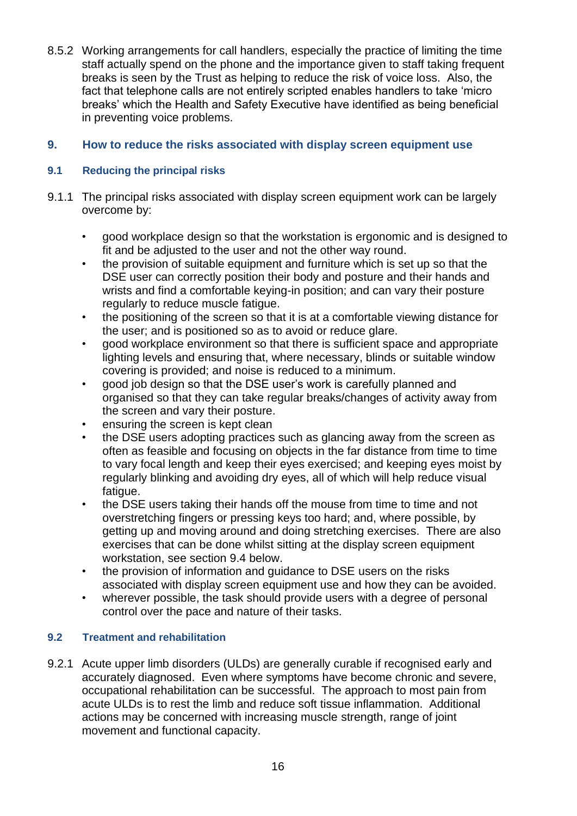8.5.2 Working arrangements for call handlers, especially the practice of limiting the time staff actually spend on the phone and the importance given to staff taking frequent breaks is seen by the Trust as helping to reduce the risk of voice loss. Also, the fact that telephone calls are not entirely scripted enables handlers to take 'micro breaks' which the Health and Safety Executive have identified as being beneficial in preventing voice problems.

# <span id="page-15-0"></span>**9. How to reduce the risks associated with display screen equipment use**

# **9.1 Reducing the principal risks**

- 9.1.1 The principal risks associated with display screen equipment work can be largely overcome by:
	- good workplace design so that the workstation is ergonomic and is designed to fit and be adjusted to the user and not the other way round.
	- the provision of suitable equipment and furniture which is set up so that the DSE user can correctly position their body and posture and their hands and wrists and find a comfortable keying-in position; and can vary their posture regularly to reduce muscle fatigue.
	- the positioning of the screen so that it is at a comfortable viewing distance for the user; and is positioned so as to avoid or reduce glare.
	- good workplace environment so that there is sufficient space and appropriate lighting levels and ensuring that, where necessary, blinds or suitable window covering is provided; and noise is reduced to a minimum.
	- good job design so that the DSE user's work is carefully planned and organised so that they can take regular breaks/changes of activity away from the screen and vary their posture.
	- ensuring the screen is kept clean
	- the DSE users adopting practices such as glancing away from the screen as often as feasible and focusing on objects in the far distance from time to time to vary focal length and keep their eyes exercised; and keeping eyes moist by regularly blinking and avoiding dry eyes, all of which will help reduce visual fatigue.
	- the DSE users taking their hands off the mouse from time to time and not overstretching fingers or pressing keys too hard; and, where possible, by getting up and moving around and doing stretching exercises. There are also exercises that can be done whilst sitting at the display screen equipment workstation, see section 9.4 below.
	- the provision of information and guidance to DSE users on the risks associated with display screen equipment use and how they can be avoided.
	- wherever possible, the task should provide users with a degree of personal control over the pace and nature of their tasks.

# **9.2 Treatment and rehabilitation**

9.2.1 Acute upper limb disorders (ULDs) are generally curable if recognised early and accurately diagnosed. Even where symptoms have become chronic and severe, occupational rehabilitation can be successful. The approach to most pain from acute ULDs is to rest the limb and reduce soft tissue inflammation. Additional actions may be concerned with increasing muscle strength, range of joint movement and functional capacity.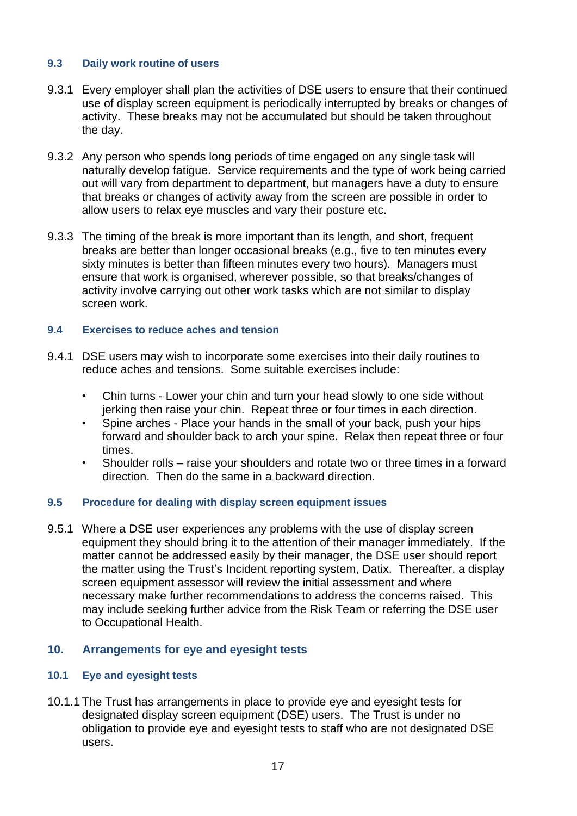# **9.3 Daily work routine of users**

- 9.3.1 Every employer shall plan the activities of DSE users to ensure that their continued use of display screen equipment is periodically interrupted by breaks or changes of activity. These breaks may not be accumulated but should be taken throughout the day.
- 9.3.2 Any person who spends long periods of time engaged on any single task will naturally develop fatigue. Service requirements and the type of work being carried out will vary from department to department, but managers have a duty to ensure that breaks or changes of activity away from the screen are possible in order to allow users to relax eye muscles and vary their posture etc.
- 9.3.3 The timing of the break is more important than its length, and short, frequent breaks are better than longer occasional breaks (e.g., five to ten minutes every sixty minutes is better than fifteen minutes every two hours). Managers must ensure that work is organised, wherever possible, so that breaks/changes of activity involve carrying out other work tasks which are not similar to display screen work.

# **9.4 Exercises to reduce aches and tension**

- 9.4.1 DSE users may wish to incorporate some exercises into their daily routines to reduce aches and tensions. Some suitable exercises include:
	- Chin turns Lower your chin and turn your head slowly to one side without jerking then raise your chin. Repeat three or four times in each direction.
	- Spine arches Place your hands in the small of your back, push your hips forward and shoulder back to arch your spine. Relax then repeat three or four times.
	- Shoulder rolls raise your shoulders and rotate two or three times in a forward direction. Then do the same in a backward direction.

# **9.5 Procedure for dealing with display screen equipment issues**

9.5.1 Where a DSE user experiences any problems with the use of display screen equipment they should bring it to the attention of their manager immediately. If the matter cannot be addressed easily by their manager, the DSE user should report the matter using the Trust's Incident reporting system, Datix. Thereafter, a display screen equipment assessor will review the initial assessment and where necessary make further recommendations to address the concerns raised. This may include seeking further advice from the Risk Team or referring the DSE user to Occupational Health.

# <span id="page-16-0"></span>**10. Arrangements for eye and eyesight tests**

# **10.1 Eye and eyesight tests**

10.1.1 The Trust has arrangements in place to provide eye and eyesight tests for designated display screen equipment (DSE) users. The Trust is under no obligation to provide eye and eyesight tests to staff who are not designated DSE users.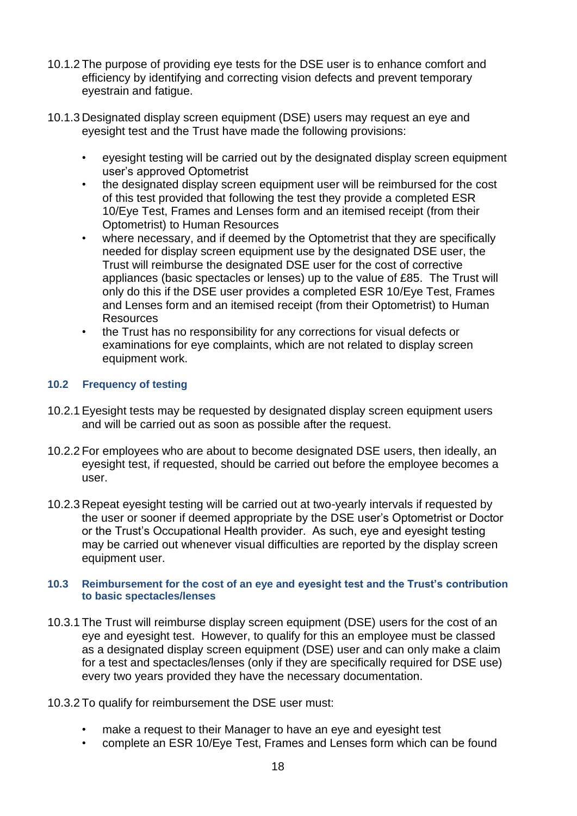- 10.1.2 The purpose of providing eye tests for the DSE user is to enhance comfort and efficiency by identifying and correcting vision defects and prevent temporary eyestrain and fatigue.
- 10.1.3 Designated display screen equipment (DSE) users may request an eye and eyesight test and the Trust have made the following provisions:
	- eyesight testing will be carried out by the designated display screen equipment user's approved Optometrist
	- the designated display screen equipment user will be reimbursed for the cost of this test provided that following the test they provide a completed ESR 10/Eye Test, Frames and Lenses form and an itemised receipt (from their Optometrist) to Human Resources
	- where necessary, and if deemed by the Optometrist that they are specifically needed for display screen equipment use by the designated DSE user, the Trust will reimburse the designated DSE user for the cost of corrective appliances (basic spectacles or lenses) up to the value of £85. The Trust will only do this if the DSE user provides a completed ESR 10/Eye Test, Frames and Lenses form and an itemised receipt (from their Optometrist) to Human Resources
	- the Trust has no responsibility for any corrections for visual defects or examinations for eye complaints, which are not related to display screen equipment work.

# **10.2 Frequency of testing**

- 10.2.1 Eyesight tests may be requested by designated display screen equipment users and will be carried out as soon as possible after the request.
- 10.2.2 For employees who are about to become designated DSE users, then ideally, an eyesight test, if requested, should be carried out before the employee becomes a user.
- 10.2.3 Repeat eyesight testing will be carried out at two-yearly intervals if requested by the user or sooner if deemed appropriate by the DSE user's Optometrist or Doctor or the Trust's Occupational Health provider. As such, eye and eyesight testing may be carried out whenever visual difficulties are reported by the display screen equipment user.

#### **10.3 Reimbursement for the cost of an eye and eyesight test and the Trust's contribution to basic spectacles/lenses**

- 10.3.1 The Trust will reimburse display screen equipment (DSE) users for the cost of an eye and eyesight test. However, to qualify for this an employee must be classed as a designated display screen equipment (DSE) user and can only make a claim for a test and spectacles/lenses (only if they are specifically required for DSE use) every two years provided they have the necessary documentation.
- 10.3.2 To qualify for reimbursement the DSE user must:
	- make a request to their Manager to have an eye and eyesight test
	- complete an ESR 10/Eye Test, Frames and Lenses form which can be found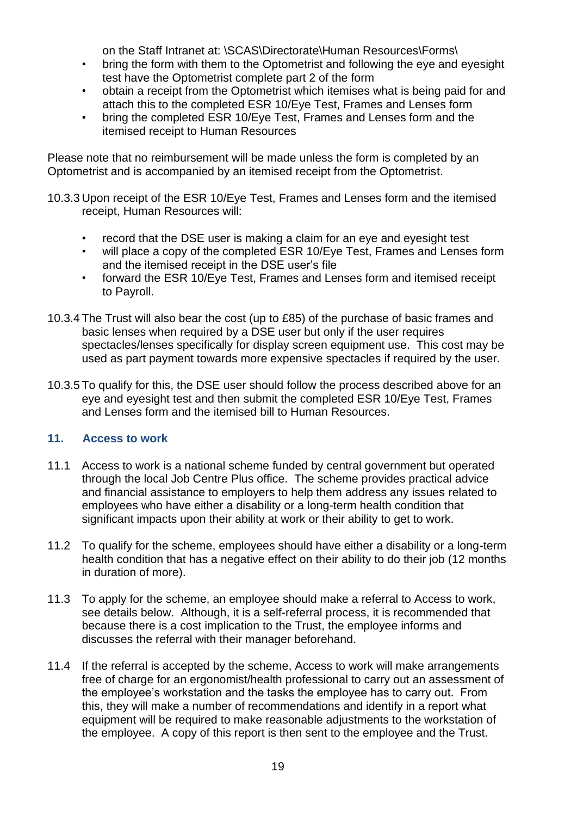on the Staff Intranet at: \SCAS\Directorate\Human Resources\Forms\

- bring the form with them to the Optometrist and following the eye and eyesight test have the Optometrist complete part 2 of the form
- obtain a receipt from the Optometrist which itemises what is being paid for and attach this to the completed ESR 10/Eye Test, Frames and Lenses form
- bring the completed ESR 10/Eye Test, Frames and Lenses form and the itemised receipt to Human Resources

Please note that no reimbursement will be made unless the form is completed by an Optometrist and is accompanied by an itemised receipt from the Optometrist.

- 10.3.3 Upon receipt of the ESR 10/Eye Test, Frames and Lenses form and the itemised receipt, Human Resources will:
	- record that the DSE user is making a claim for an eye and eyesight test
	- will place a copy of the completed ESR 10/Eye Test, Frames and Lenses form and the itemised receipt in the DSE user's file
	- forward the ESR 10/Eye Test, Frames and Lenses form and itemised receipt to Payroll.
- 10.3.4 The Trust will also bear the cost (up to £85) of the purchase of basic frames and basic lenses when required by a DSE user but only if the user requires spectacles/lenses specifically for display screen equipment use. This cost may be used as part payment towards more expensive spectacles if required by the user.
- 10.3.5 To qualify for this, the DSE user should follow the process described above for an eye and eyesight test and then submit the completed ESR 10/Eye Test, Frames and Lenses form and the itemised bill to Human Resources.

# <span id="page-18-0"></span>**11. Access to work**

- 11.1 Access to work is a national scheme funded by central government but operated through the local Job Centre Plus office. The scheme provides practical advice and financial assistance to employers to help them address any issues related to employees who have either a disability or a long-term health condition that significant impacts upon their ability at work or their ability to get to work.
- 11.2 To qualify for the scheme, employees should have either a disability or a long-term health condition that has a negative effect on their ability to do their job (12 months in duration of more).
- 11.3 To apply for the scheme, an employee should make a referral to Access to work, see details below. Although, it is a self-referral process, it is recommended that because there is a cost implication to the Trust, the employee informs and discusses the referral with their manager beforehand.
- 11.4 If the referral is accepted by the scheme, Access to work will make arrangements free of charge for an ergonomist/health professional to carry out an assessment of the employee's workstation and the tasks the employee has to carry out. From this, they will make a number of recommendations and identify in a report what equipment will be required to make reasonable adjustments to the workstation of the employee. A copy of this report is then sent to the employee and the Trust.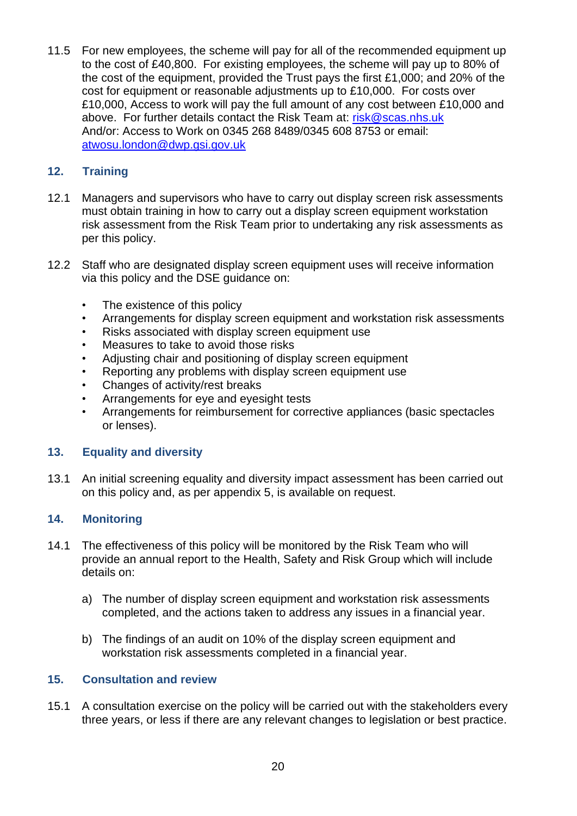11.5 For new employees, the scheme will pay for all of the recommended equipment up to the cost of £40,800. For existing employees, the scheme will pay up to 80% of the cost of the equipment, provided the Trust pays the first £1,000; and 20% of the cost for equipment or reasonable adjustments up to £10,000. For costs over £10,000, Access to work will pay the full amount of any cost between £10,000 and above. For further details contact the Risk Team at: [risk@scas.nhs.uk](mailto:risk@scas.nhs.uk) And/or: Access to Work on 0345 268 8489/0345 608 8753 or email: [atwosu.london@dwp.gsi.gov.uk](mailto:atwosu.london@dwp.gsi.gov.uk)

# <span id="page-19-0"></span>**12. Training**

- 12.1 Managers and supervisors who have to carry out display screen risk assessments must obtain training in how to carry out a display screen equipment workstation risk assessment from the Risk Team prior to undertaking any risk assessments as per this policy.
- 12.2 Staff who are designated display screen equipment uses will receive information via this policy and the DSE guidance on:
	- The existence of this policy
	- Arrangements for display screen equipment and workstation risk assessments
	- Risks associated with display screen equipment use
	- Measures to take to avoid those risks
	- Adjusting chair and positioning of display screen equipment
	- Reporting any problems with display screen equipment use
	- Changes of activity/rest breaks
	- Arrangements for eye and eyesight tests
	- Arrangements for reimbursement for corrective appliances (basic spectacles or lenses).

# <span id="page-19-1"></span>**13. Equality and diversity**

13.1 An initial screening equality and diversity impact assessment has been carried out on this policy and, as per appendix 5, is available on request.

# <span id="page-19-2"></span>**14. Monitoring**

- 14.1 The effectiveness of this policy will be monitored by the Risk Team who will provide an annual report to the Health, Safety and Risk Group which will include details on:
	- a) The number of display screen equipment and workstation risk assessments completed, and the actions taken to address any issues in a financial year.
	- b) The findings of an audit on 10% of the display screen equipment and workstation risk assessments completed in a financial year.

# <span id="page-19-3"></span>**15. Consultation and review**

15.1 A consultation exercise on the policy will be carried out with the stakeholders every three years, or less if there are any relevant changes to legislation or best practice.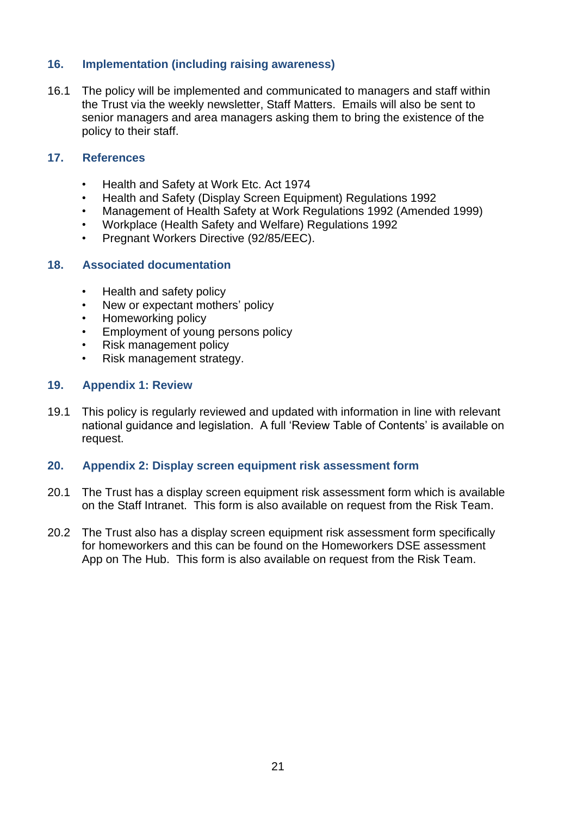# <span id="page-20-0"></span>**16. Implementation (including raising awareness)**

16.1 The policy will be implemented and communicated to managers and staff within the Trust via the weekly newsletter, Staff Matters. Emails will also be sent to senior managers and area managers asking them to bring the existence of the policy to their staff.

# <span id="page-20-1"></span>**17. References**

- Health and Safety at Work Etc. Act 1974
- Health and Safety (Display Screen Equipment) Regulations 1992
- Management of Health Safety at Work Regulations 1992 (Amended 1999)
- Workplace (Health Safety and Welfare) Regulations 1992
- Pregnant Workers Directive (92/85/EEC).

#### <span id="page-20-2"></span>**18. Associated documentation**

- Health and safety policy
- New or expectant mothers' policy
- Homeworking policy
- Employment of young persons policy
- Risk management policy
- Risk management strategy.

#### <span id="page-20-3"></span>**19. Appendix 1: Review**

19.1 This policy is regularly reviewed and updated with information in line with relevant national guidance and legislation. A full 'Review Table of Contents' is available on request.

#### <span id="page-20-4"></span>**20. Appendix 2: Display screen equipment risk assessment form**

- 20.1 The Trust has a display screen equipment risk assessment form which is available on the Staff Intranet. This form is also available on request from the Risk Team.
- 20.2 The Trust also has a display screen equipment risk assessment form specifically for homeworkers and this can be found on the Homeworkers DSE assessment App on The Hub. This form is also available on request from the Risk Team.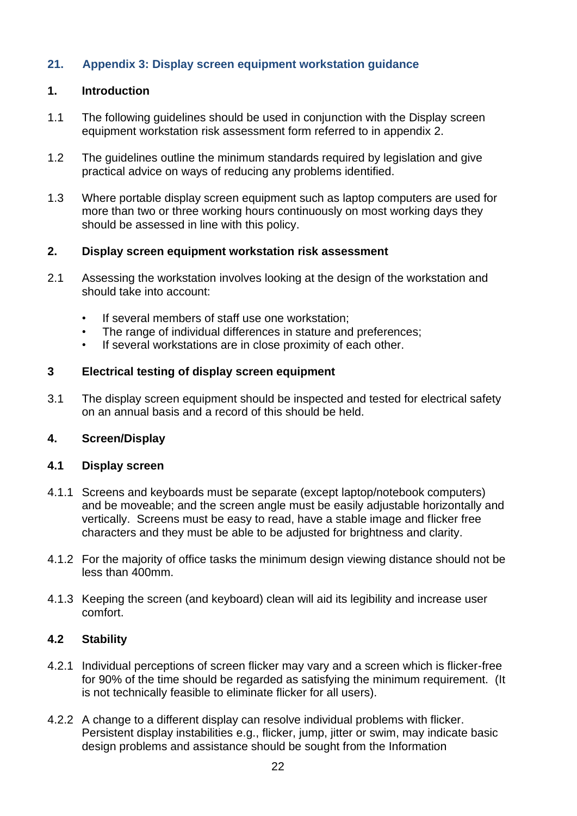# <span id="page-21-0"></span>**21. Appendix 3: Display screen equipment workstation guidance**

# **1. Introduction**

- 1.1 The following guidelines should be used in conjunction with the Display screen equipment workstation risk assessment form referred to in appendix 2.
- 1.2 The guidelines outline the minimum standards required by legislation and give practical advice on ways of reducing any problems identified.
- 1.3 Where portable display screen equipment such as laptop computers are used for more than two or three working hours continuously on most working days they should be assessed in line with this policy.

# **2. Display screen equipment workstation risk assessment**

- 2.1 Assessing the workstation involves looking at the design of the workstation and should take into account:
	- If several members of staff use one workstation;
	- The range of individual differences in stature and preferences;
	- If several workstations are in close proximity of each other.

#### **3 Electrical testing of display screen equipment**

3.1 The display screen equipment should be inspected and tested for electrical safety on an annual basis and a record of this should be held.

# **4. Screen/Display**

#### **4.1 Display screen**

- 4.1.1 Screens and keyboards must be separate (except laptop/notebook computers) and be moveable; and the screen angle must be easily adjustable horizontally and vertically. Screens must be easy to read, have a stable image and flicker free characters and they must be able to be adjusted for brightness and clarity.
- 4.1.2 For the majority of office tasks the minimum design viewing distance should not be less than 400mm.
- 4.1.3 Keeping the screen (and keyboard) clean will aid its legibility and increase user comfort.

# **4.2 Stability**

- 4.2.1 Individual perceptions of screen flicker may vary and a screen which is flicker-free for 90% of the time should be regarded as satisfying the minimum requirement. (It is not technically feasible to eliminate flicker for all users).
- 4.2.2 A change to a different display can resolve individual problems with flicker. Persistent display instabilities e.g., flicker, jump, jitter or swim, may indicate basic design problems and assistance should be sought from the Information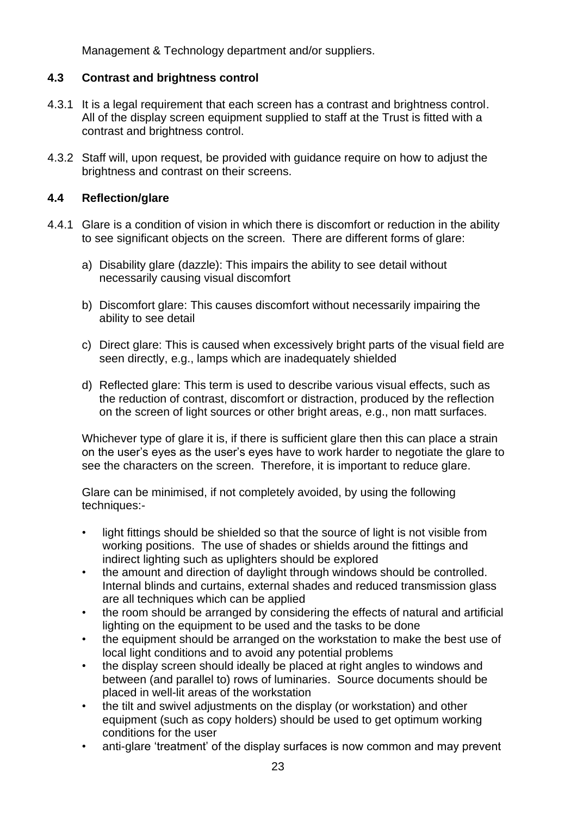Management & Technology department and/or suppliers.

# **4.3 Contrast and brightness control**

- 4.3.1 It is a legal requirement that each screen has a contrast and brightness control. All of the display screen equipment supplied to staff at the Trust is fitted with a contrast and brightness control.
- 4.3.2 Staff will, upon request, be provided with guidance require on how to adjust the brightness and contrast on their screens.

# **4.4 Reflection/glare**

- 4.4.1 Glare is a condition of vision in which there is discomfort or reduction in the ability to see significant objects on the screen. There are different forms of glare:
	- a) Disability glare (dazzle): This impairs the ability to see detail without necessarily causing visual discomfort
	- b) Discomfort glare: This causes discomfort without necessarily impairing the ability to see detail
	- c) Direct glare: This is caused when excessively bright parts of the visual field are seen directly, e.g., lamps which are inadequately shielded
	- d) Reflected glare: This term is used to describe various visual effects, such as the reduction of contrast, discomfort or distraction, produced by the reflection on the screen of light sources or other bright areas, e.g., non matt surfaces.

Whichever type of glare it is, if there is sufficient glare then this can place a strain on the user's eyes as the user's eyes have to work harder to negotiate the glare to see the characters on the screen. Therefore, it is important to reduce glare.

Glare can be minimised, if not completely avoided, by using the following techniques:-

- light fittings should be shielded so that the source of light is not visible from working positions. The use of shades or shields around the fittings and indirect lighting such as uplighters should be explored
- the amount and direction of daylight through windows should be controlled. Internal blinds and curtains, external shades and reduced transmission glass are all techniques which can be applied
- the room should be arranged by considering the effects of natural and artificial lighting on the equipment to be used and the tasks to be done
- the equipment should be arranged on the workstation to make the best use of local light conditions and to avoid any potential problems
- the display screen should ideally be placed at right angles to windows and between (and parallel to) rows of luminaries. Source documents should be placed in well-lit areas of the workstation
- the tilt and swivel adjustments on the display (or workstation) and other equipment (such as copy holders) should be used to get optimum working conditions for the user
- anti-glare 'treatment' of the display surfaces is now common and may prevent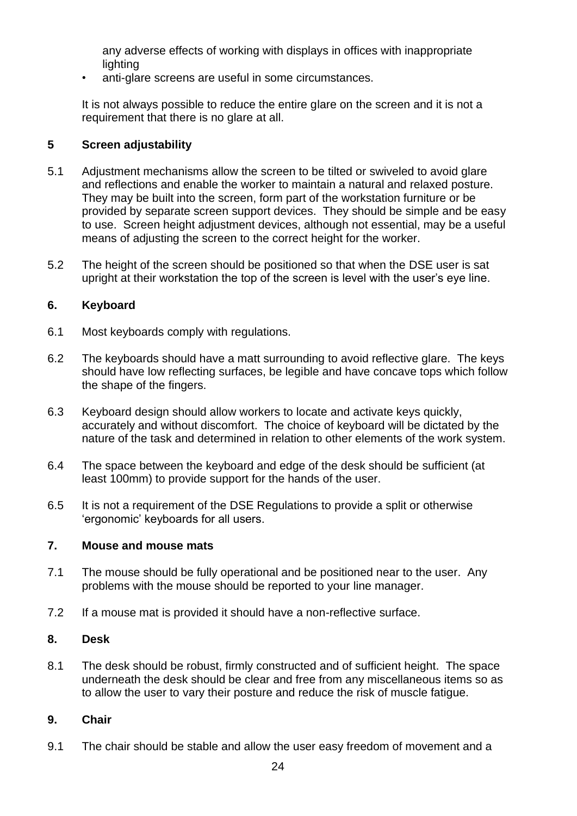any adverse effects of working with displays in offices with inappropriate lighting

• anti-glare screens are useful in some circumstances.

It is not always possible to reduce the entire glare on the screen and it is not a requirement that there is no glare at all.

# **5 Screen adjustability**

- 5.1 Adjustment mechanisms allow the screen to be tilted or swiveled to avoid glare and reflections and enable the worker to maintain a natural and relaxed posture. They may be built into the screen, form part of the workstation furniture or be provided by separate screen support devices. They should be simple and be easy to use. Screen height adjustment devices, although not essential, may be a useful means of adjusting the screen to the correct height for the worker.
- 5.2 The height of the screen should be positioned so that when the DSE user is sat upright at their workstation the top of the screen is level with the user's eye line.

# **6. Keyboard**

- 6.1 Most keyboards comply with regulations.
- 6.2 The keyboards should have a matt surrounding to avoid reflective glare. The keys should have low reflecting surfaces, be legible and have concave tops which follow the shape of the fingers.
- 6.3 Keyboard design should allow workers to locate and activate keys quickly, accurately and without discomfort. The choice of keyboard will be dictated by the nature of the task and determined in relation to other elements of the work system.
- 6.4 The space between the keyboard and edge of the desk should be sufficient (at least 100mm) to provide support for the hands of the user.
- 6.5 It is not a requirement of the DSE Regulations to provide a split or otherwise 'ergonomic' keyboards for all users.

# **7. Mouse and mouse mats**

- 7.1 The mouse should be fully operational and be positioned near to the user. Any problems with the mouse should be reported to your line manager.
- 7.2 If a mouse mat is provided it should have a non-reflective surface.

# **8. Desk**

8.1 The desk should be robust, firmly constructed and of sufficient height. The space underneath the desk should be clear and free from any miscellaneous items so as to allow the user to vary their posture and reduce the risk of muscle fatigue.

# **9. Chair**

9.1 The chair should be stable and allow the user easy freedom of movement and a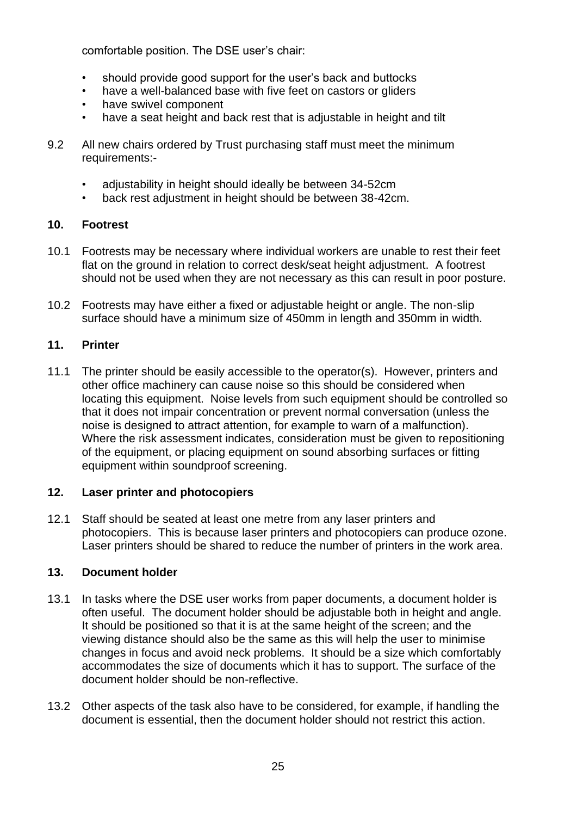comfortable position. The DSE user's chair:

- should provide good support for the user's back and buttocks
- have a well-balanced base with five feet on castors or gliders
- have swivel component
- have a seat height and back rest that is adjustable in height and tilt
- 9.2 All new chairs ordered by Trust purchasing staff must meet the minimum requirements:-
	- adjustability in height should ideally be between 34-52cm
	- back rest adjustment in height should be between 38-42cm.

# **10. Footrest**

- 10.1 Footrests may be necessary where individual workers are unable to rest their feet flat on the ground in relation to correct desk/seat height adjustment. A footrest should not be used when they are not necessary as this can result in poor posture.
- 10.2 Footrests may have either a fixed or adjustable height or angle. The non-slip surface should have a minimum size of 450mm in length and 350mm in width.

# **11. Printer**

11.1 The printer should be easily accessible to the operator(s). However, printers and other office machinery can cause noise so this should be considered when locating this equipment. Noise levels from such equipment should be controlled so that it does not impair concentration or prevent normal conversation (unless the noise is designed to attract attention, for example to warn of a malfunction). Where the risk assessment indicates, consideration must be given to repositioning of the equipment, or placing equipment on sound absorbing surfaces or fitting equipment within soundproof screening.

# **12. Laser printer and photocopiers**

12.1 Staff should be seated at least one metre from any laser printers and photocopiers. This is because laser printers and photocopiers can produce ozone. Laser printers should be shared to reduce the number of printers in the work area.

# **13. Document holder**

- 13.1 In tasks where the DSE user works from paper documents, a document holder is often useful. The document holder should be adjustable both in height and angle. It should be positioned so that it is at the same height of the screen; and the viewing distance should also be the same as this will help the user to minimise changes in focus and avoid neck problems. It should be a size which comfortably accommodates the size of documents which it has to support. The surface of the document holder should be non-reflective.
- 13.2 Other aspects of the task also have to be considered, for example, if handling the document is essential, then the document holder should not restrict this action.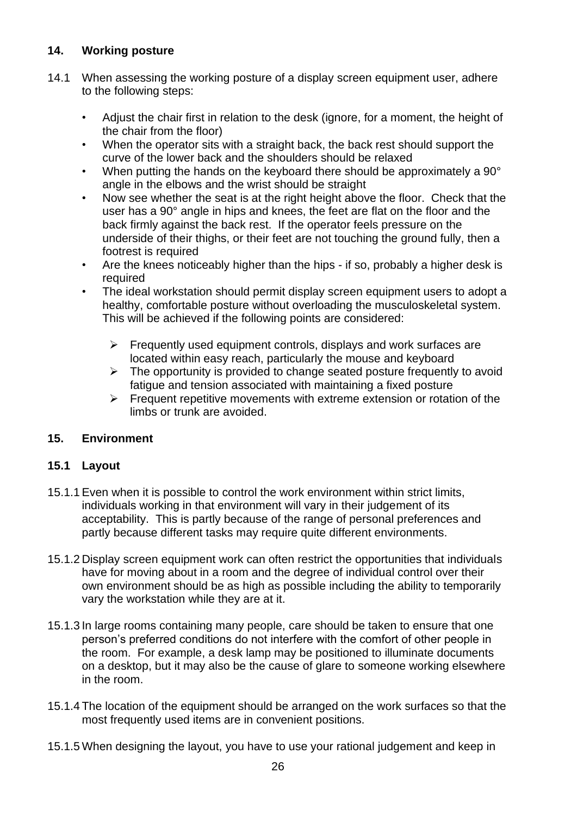# **14. Working posture**

- 14.1 When assessing the working posture of a display screen equipment user, adhere to the following steps:
	- Adjust the chair first in relation to the desk (ignore, for a moment, the height of the chair from the floor)
	- When the operator sits with a straight back, the back rest should support the curve of the lower back and the shoulders should be relaxed
	- When putting the hands on the keyboard there should be approximately a 90° angle in the elbows and the wrist should be straight
	- Now see whether the seat is at the right height above the floor. Check that the user has a 90° angle in hips and knees, the feet are flat on the floor and the back firmly against the back rest. If the operator feels pressure on the underside of their thighs, or their feet are not touching the ground fully, then a footrest is required
	- Are the knees noticeably higher than the hips if so, probably a higher desk is required
	- The ideal workstation should permit display screen equipment users to adopt a healthy, comfortable posture without overloading the musculoskeletal system. This will be achieved if the following points are considered:
		- $\triangleright$  Frequently used equipment controls, displays and work surfaces are located within easy reach, particularly the mouse and keyboard
		- $\triangleright$  The opportunity is provided to change seated posture frequently to avoid fatigue and tension associated with maintaining a fixed posture
		- $\triangleright$  Frequent repetitive movements with extreme extension or rotation of the limbs or trunk are avoided.

# **15. Environment**

# **15.1 Layout**

- 15.1.1 Even when it is possible to control the work environment within strict limits, individuals working in that environment will vary in their judgement of its acceptability. This is partly because of the range of personal preferences and partly because different tasks may require quite different environments.
- 15.1.2 Display screen equipment work can often restrict the opportunities that individuals have for moving about in a room and the degree of individual control over their own environment should be as high as possible including the ability to temporarily vary the workstation while they are at it.
- 15.1.3 In large rooms containing many people, care should be taken to ensure that one person's preferred conditions do not interfere with the comfort of other people in the room. For example, a desk lamp may be positioned to illuminate documents on a desktop, but it may also be the cause of glare to someone working elsewhere in the room.
- 15.1.4 The location of the equipment should be arranged on the work surfaces so that the most frequently used items are in convenient positions.
- 15.1.5 When designing the layout, you have to use your rational judgement and keep in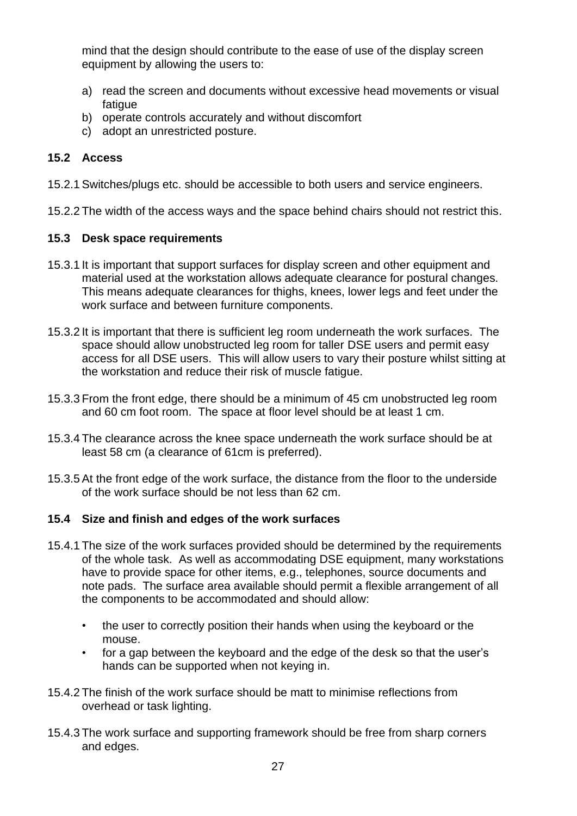mind that the design should contribute to the ease of use of the display screen equipment by allowing the users to:

- a) read the screen and documents without excessive head movements or visual fatique
- b) operate controls accurately and without discomfort
- c) adopt an unrestricted posture.

# **15.2 Access**

15.2.1 Switches/plugs etc. should be accessible to both users and service engineers.

15.2.2 The width of the access ways and the space behind chairs should not restrict this.

# **15.3 Desk space requirements**

- 15.3.1 It is important that support surfaces for display screen and other equipment and material used at the workstation allows adequate clearance for postural changes. This means adequate clearances for thighs, knees, lower legs and feet under the work surface and between furniture components.
- 15.3.2 It is important that there is sufficient leg room underneath the work surfaces. The space should allow unobstructed leg room for taller DSE users and permit easy access for all DSE users. This will allow users to vary their posture whilst sitting at the workstation and reduce their risk of muscle fatigue.
- 15.3.3 From the front edge, there should be a minimum of 45 cm unobstructed leg room and 60 cm foot room. The space at floor level should be at least 1 cm.
- 15.3.4 The clearance across the knee space underneath the work surface should be at least 58 cm (a clearance of 61cm is preferred).
- 15.3.5 At the front edge of the work surface, the distance from the floor to the underside of the work surface should be not less than 62 cm.

# **15.4 Size and finish and edges of the work surfaces**

- 15.4.1 The size of the work surfaces provided should be determined by the requirements of the whole task. As well as accommodating DSE equipment, many workstations have to provide space for other items, e.g., telephones, source documents and note pads. The surface area available should permit a flexible arrangement of all the components to be accommodated and should allow:
	- the user to correctly position their hands when using the keyboard or the mouse.
	- for a gap between the keyboard and the edge of the desk so that the user's hands can be supported when not keying in.
- 15.4.2 The finish of the work surface should be matt to minimise reflections from overhead or task lighting.
- 15.4.3 The work surface and supporting framework should be free from sharp corners and edges.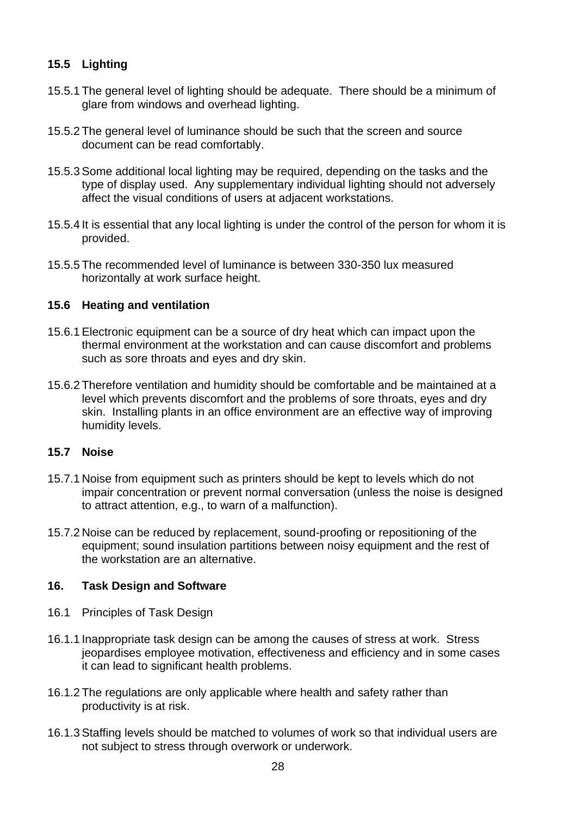# **15.5 Lighting**

- 15.5.1 The general level of lighting should be adequate. There should be a minimum of glare from windows and overhead lighting.
- 15.5.2 The general level of luminance should be such that the screen and source document can be read comfortably.
- 15.5.3 Some additional local lighting may be required, depending on the tasks and the type of display used. Any supplementary individual lighting should not adversely affect the visual conditions of users at adjacent workstations.
- 15.5.4 It is essential that any local lighting is under the control of the person for whom it is provided.
- 15.5.5 The recommended level of luminance is between 330-350 lux measured horizontally at work surface height.

# **15.6 Heating and ventilation**

- 15.6.1 Electronic equipment can be a source of dry heat which can impact upon the thermal environment at the workstation and can cause discomfort and problems such as sore throats and eyes and dry skin.
- 15.6.2 Therefore ventilation and humidity should be comfortable and be maintained at a level which prevents discomfort and the problems of sore throats, eyes and dry skin. Installing plants in an office environment are an effective way of improving humidity levels.

# **15.7 Noise**

- 15.7.1 Noise from equipment such as printers should be kept to levels which do not impair concentration or prevent normal conversation (unless the noise is designed to attract attention, e.g., to warn of a malfunction).
- 15.7.2 Noise can be reduced by replacement, sound-proofing or repositioning of the equipment; sound insulation partitions between noisy equipment and the rest of the workstation are an alternative.

# **16. Task Design and Software**

- 16.1 Principles of Task Design
- 16.1.1 Inappropriate task design can be among the causes of stress at work. Stress jeopardises employee motivation, effectiveness and efficiency and in some cases it can lead to significant health problems.
- 16.1.2 The regulations are only applicable where health and safety rather than productivity is at risk.
- 16.1.3 Staffing levels should be matched to volumes of work so that individual users are not subject to stress through overwork or underwork.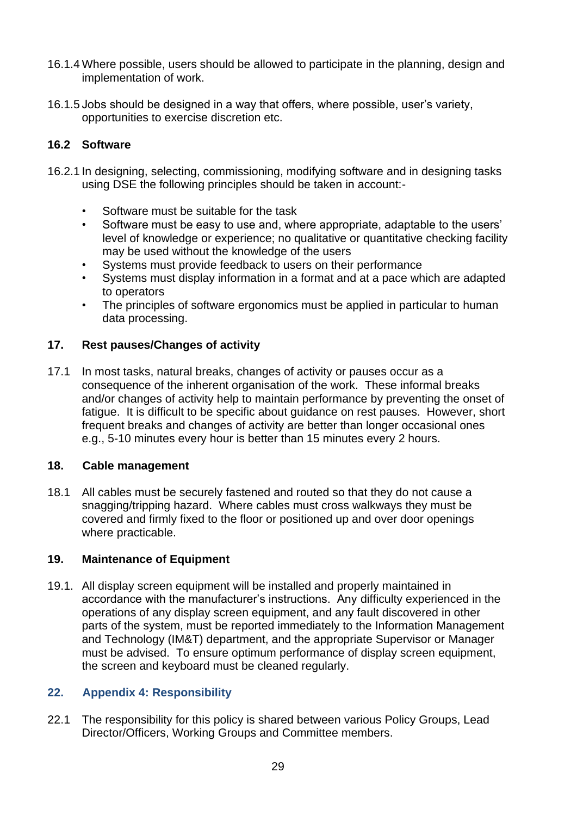- 16.1.4 Where possible, users should be allowed to participate in the planning, design and implementation of work.
- 16.1.5 Jobs should be designed in a way that offers, where possible, user's variety, opportunities to exercise discretion etc.

# **16.2 Software**

- 16.2.1 In designing, selecting, commissioning, modifying software and in designing tasks using DSE the following principles should be taken in account:-
	- Software must be suitable for the task
	- Software must be easy to use and, where appropriate, adaptable to the users' level of knowledge or experience; no qualitative or quantitative checking facility may be used without the knowledge of the users
	- Systems must provide feedback to users on their performance
	- Systems must display information in a format and at a pace which are adapted to operators
	- The principles of software ergonomics must be applied in particular to human data processing.

# **17. Rest pauses/Changes of activity**

17.1 In most tasks, natural breaks, changes of activity or pauses occur as a consequence of the inherent organisation of the work. These informal breaks and/or changes of activity help to maintain performance by preventing the onset of fatigue. It is difficult to be specific about guidance on rest pauses. However, short frequent breaks and changes of activity are better than longer occasional ones e.g., 5-10 minutes every hour is better than 15 minutes every 2 hours.

# **18. Cable management**

18.1 All cables must be securely fastened and routed so that they do not cause a snagging/tripping hazard. Where cables must cross walkways they must be covered and firmly fixed to the floor or positioned up and over door openings where practicable.

# **19. Maintenance of Equipment**

19.1. All display screen equipment will be installed and properly maintained in accordance with the manufacturer's instructions. Any difficulty experienced in the operations of any display screen equipment, and any fault discovered in other parts of the system, must be reported immediately to the Information Management and Technology (IM&T) department, and the appropriate Supervisor or Manager must be advised. To ensure optimum performance of display screen equipment, the screen and keyboard must be cleaned regularly.

# <span id="page-28-0"></span>**22. Appendix 4: Responsibility**

22.1 The responsibility for this policy is shared between various Policy Groups, Lead Director/Officers, Working Groups and Committee members.